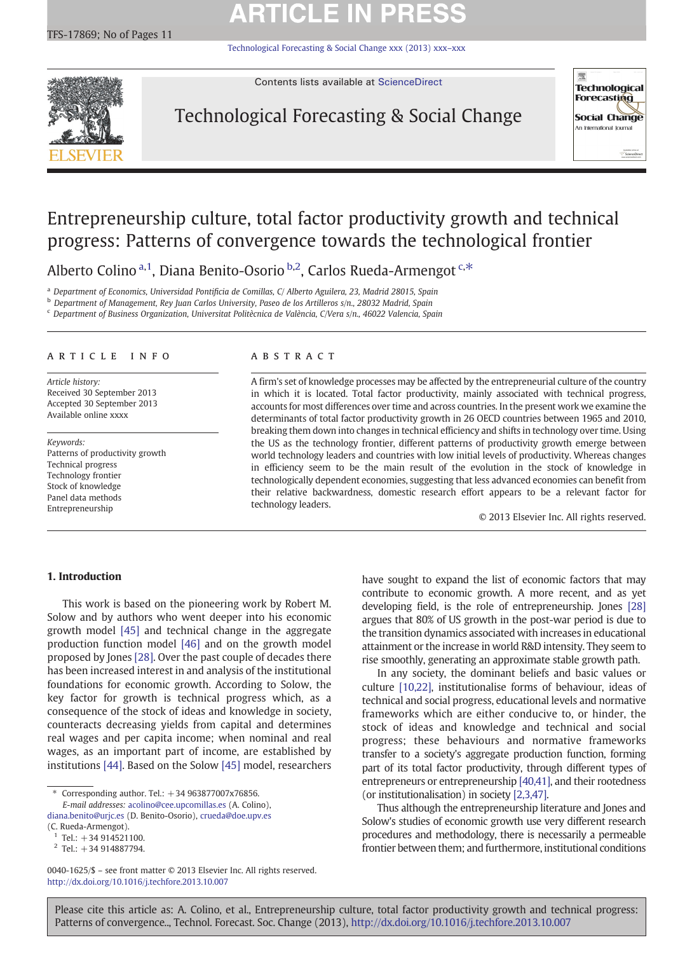# **ARTICLE IN PRESS**

[Technological Forecasting & Social Change xxx \(2013\) xxx](http://dx.doi.org/10.1016/j.techfore.2013.10.007)–xxx

<span id="page-0-0"></span>

Contents lists available at [ScienceDirect](http://www.sciencedirect.com/science/journal/00401625)

## Technological Forecasting & Social Change



## Entrepreneurship culture, total factor productivity growth and technical progress: Patterns of convergence towards the technological frontier

Alberto Colino <sup>a, 1</sup>, Diana Benito-Osorio <sup>b, 2</sup>, Carlos Rueda-Armengot <sup>c,\*</sup>

<sup>a</sup> Department of Economics, Universidad Pontificia de Comillas, C/ Alberto Aguilera, 23, Madrid 28015, Spain

<sup>b</sup> Department of Management, Rey Juan Carlos University, Paseo de los Artilleros s/n., 28032 Madrid, Spain

<sup>c</sup> Department of Business Organization, Universitat Politècnica de València, C/Vera s/n., 46022 Valencia, Spain

### article info abstract

Article history: Received 30 September 2013 Accepted 30 September 2013 Available online xxxx

Keywords: Patterns of productivity growth Technical progress Technology frontier Stock of knowledge Panel data methods Entrepreneurship

A firm's set of knowledge processes may be affected by the entrepreneurial culture of the country in which it is located. Total factor productivity, mainly associated with technical progress, accounts for most differences over time and across countries. In the present work we examine the determinants of total factor productivity growth in 26 OECD countries between 1965 and 2010, breaking them down into changes in technical efficiency and shifts in technology over time. Using the US as the technology frontier, different patterns of productivity growth emerge between world technology leaders and countries with low initial levels of productivity. Whereas changes in efficiency seem to be the main result of the evolution in the stock of knowledge in technologically dependent economies, suggesting that less advanced economies can benefit from their relative backwardness, domestic research effort appears to be a relevant factor for technology leaders.

© 2013 Elsevier Inc. All rights reserved.

### 1. Introduction

This work is based on the pioneering work by Robert M. Solow and by authors who went deeper into his economic growth model [\[45\]](#page--1-0) and technical change in the aggregate production function model [\[46\]](#page--1-0) and on the growth model proposed by Jones [\[28\]](#page--1-0). Over the past couple of decades there has been increased interest in and analysis of the institutional foundations for economic growth. According to Solow, the key factor for growth is technical progress which, as a consequence of the stock of ideas and knowledge in society, counteracts decreasing yields from capital and determines real wages and per capita income; when nominal and real wages, as an important part of income, are established by institutions [\[44\]](#page--1-0). Based on the Solow [\[45\]](#page--1-0) model, researchers have sought to expand the list of economic factors that may contribute to economic growth. A more recent, and as yet developing field, is the role of entrepreneurship. Jones [\[28\]](#page--1-0) argues that 80% of US growth in the post-war period is due to the transition dynamics associated with increases in educational attainment or the increase in world R&D intensity. They seem to rise smoothly, generating an approximate stable growth path.

In any society, the dominant beliefs and basic values or culture [\[10,22\],](#page--1-0) institutionalise forms of behaviour, ideas of technical and social progress, educational levels and normative frameworks which are either conducive to, or hinder, the stock of ideas and knowledge and technical and social progress; these behaviours and normative frameworks transfer to a society's aggregate production function, forming part of its total factor productivity, through different types of entrepreneurs or entrepreneurship [\[40,41\]](#page--1-0), and their rootedness (or institutionalisation) in society [\[2,3,47\].](#page--1-0)

Thus although the entrepreneurship literature and Jones and Solow's studies of economic growth use very different research procedures and methodology, there is necessarily a permeable frontier between them; and furthermore, institutional conditions

Please cite this article as: A. Colino, et al., Entrepreneurship culture, total factor productivity growth and technical progress: Patterns of convergence.., Technol. Forecast. Soc. Change (2013), <http://dx.doi.org/10.1016/j.techfore.2013.10.007>

Corresponding author. Tel.: +34 963877007x76856.

E-mail addresses: [acolino@cee.upcomillas.es](mailto:acolino@cee.upcomillas.es) (A. Colino),

[diana.benito@urjc.es](mailto:diana.benito@urjc.es) (D. Benito-Osorio), [crueda@doe.upv.es](mailto:crueda@doe.upv.es) (C. Rueda-Armengot).

 $1$  Tel.:  $+34$  914521100.

 $2$  Tel.: +34 914887794.

<sup>0040-1625/\$</sup> – see front matter © 2013 Elsevier Inc. All rights reserved. <http://dx.doi.org/10.1016/j.techfore.2013.10.007>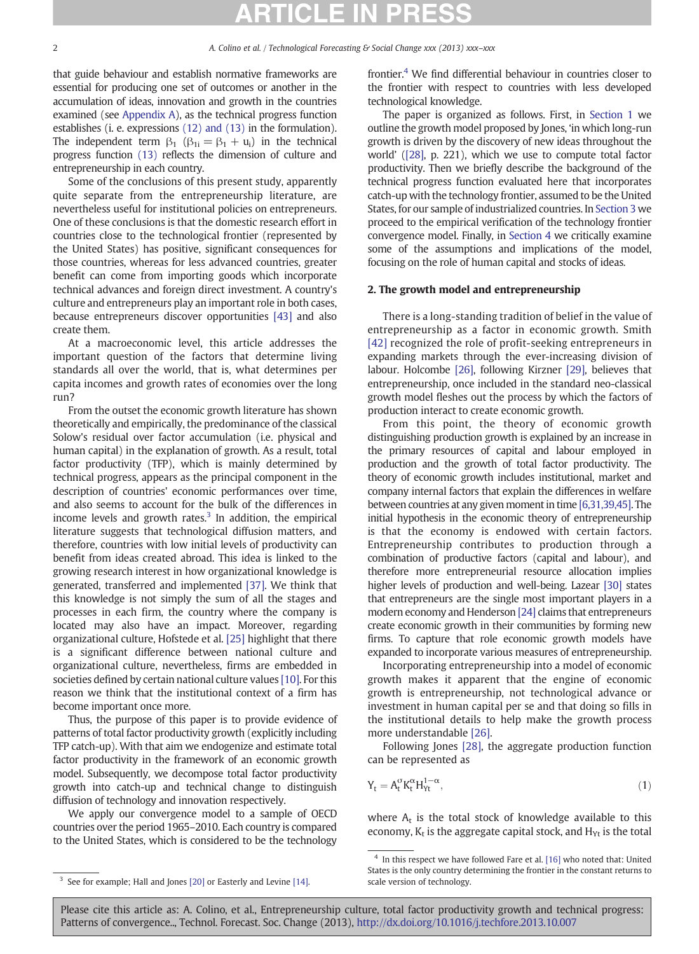that guide behaviour and establish normative frameworks are essential for producing one set of outcomes or another in the accumulation of ideas, innovation and growth in the countries examined (see [Appendix A](#page--1-0)), as the technical progress function establishes (i. e. expressions [\(12\) and \(13\)](#page--1-0) in the formulation). The independent term  $\beta_1$  ( $\beta_{1i} = \beta_1 + u_i$ ) in the technical progress function [\(13\)](#page--1-0) reflects the dimension of culture and entrepreneurship in each country.

Some of the conclusions of this present study, apparently quite separate from the entrepreneurship literature, are nevertheless useful for institutional policies on entrepreneurs. One of these conclusions is that the domestic research effort in countries close to the technological frontier (represented by the United States) has positive, significant consequences for those countries, whereas for less advanced countries, greater benefit can come from importing goods which incorporate technical advances and foreign direct investment. A country's culture and entrepreneurs play an important role in both cases, because entrepreneurs discover opportunities [\[43\]](#page--1-0) and also create them.

At a macroeconomic level, this article addresses the important question of the factors that determine living standards all over the world, that is, what determines per capita incomes and growth rates of economies over the long run?

From the outset the economic growth literature has shown theoretically and empirically, the predominance of the classical Solow's residual over factor accumulation (i.e. physical and human capital) in the explanation of growth. As a result, total factor productivity (TFP), which is mainly determined by technical progress, appears as the principal component in the description of countries' economic performances over time, and also seems to account for the bulk of the differences in income levels and growth rates. $3$  In addition, the empirical literature suggests that technological diffusion matters, and therefore, countries with low initial levels of productivity can benefit from ideas created abroad. This idea is linked to the growing research interest in how organizational knowledge is generated, transferred and implemented [\[37\].](#page--1-0) We think that this knowledge is not simply the sum of all the stages and processes in each firm, the country where the company is located may also have an impact. Moreover, regarding organizational culture, Hofstede et al. [\[25\]](#page--1-0) highlight that there is a significant difference between national culture and organizational culture, nevertheless, firms are embedded in societies defined by certain national culture values [\[10\]](#page--1-0). For this reason we think that the institutional context of a firm has become important once more.

Thus, the purpose of this paper is to provide evidence of patterns of total factor productivity growth (explicitly including TFP catch-up). With that aim we endogenize and estimate total factor productivity in the framework of an economic growth model. Subsequently, we decompose total factor productivity growth into catch-up and technical change to distinguish diffusion of technology and innovation respectively.

We apply our convergence model to a sample of OECD countries over the period 1965–2010. Each country is compared to the United States, which is considered to be the technology

frontier.4 We find differential behaviour in countries closer to the frontier with respect to countries with less developed technological knowledge.

The paper is organized as follows. First, in [Section 1](#page-0-0) we outline the growth model proposed by Jones, 'in which long-run growth is driven by the discovery of new ideas throughout the world' ([\[28\]](#page--1-0), p. 221), which we use to compute total factor productivity. Then we briefly describe the background of the technical progress function evaluated here that incorporates catch-up with the technology frontier, assumed to be the United States, for our sample of industrialized countries. In [Section 3](#page--1-0) we proceed to the empirical verification of the technology frontier convergence model. Finally, in [Section 4](#page--1-0) we critically examine some of the assumptions and implications of the model, focusing on the role of human capital and stocks of ideas.

### 2. The growth model and entrepreneurship

There is a long-standing tradition of belief in the value of entrepreneurship as a factor in economic growth. Smith [\[42\]](#page--1-0) recognized the role of profit-seeking entrepreneurs in expanding markets through the ever-increasing division of labour. Holcombe [\[26\],](#page--1-0) following Kirzner [\[29\]](#page--1-0), believes that entrepreneurship, once included in the standard neo-classical growth model fleshes out the process by which the factors of production interact to create economic growth.

From this point, the theory of economic growth distinguishing production growth is explained by an increase in the primary resources of capital and labour employed in production and the growth of total factor productivity. The theory of economic growth includes institutional, market and company internal factors that explain the differences in welfare between countries at any given moment in time [\[6,31,39,45\]](#page--1-0). The initial hypothesis in the economic theory of entrepreneurship is that the economy is endowed with certain factors. Entrepreneurship contributes to production through a combination of productive factors (capital and labour), and therefore more entrepreneurial resource allocation implies higher levels of production and well-being. Lazear [\[30\]](#page--1-0) states that entrepreneurs are the single most important players in a modern economy and Henderson [\[24\]](#page--1-0) claims that entrepreneurs create economic growth in their communities by forming new firms. To capture that role economic growth models have expanded to incorporate various measures of entrepreneurship.

Incorporating entrepreneurship into a model of economic growth makes it apparent that the engine of economic growth is entrepreneurship, not technological advance or investment in human capital per se and that doing so fills in the institutional details to help make the growth process more understandable [\[26\].](#page--1-0)

Following Jones [\[28\],](#page--1-0) the aggregate production function can be represented as

$$
Y_t = A_t^{\sigma} K_t^{\alpha} H_{Yt}^{1-\alpha},\tag{1}
$$

where  $A_t$  is the total stock of knowledge available to this economy,  $K_t$  is the aggregate capital stock, and  $H_{Yt}$  is the total

<sup>4</sup> In this respect we have followed Fare et al. [\[16\]](#page--1-0) who noted that: United States is the only country determining the frontier in the constant returns to scale version of technology.

<sup>&</sup>lt;sup>3</sup> See for example; Hall and Jones [\[20\]](#page--1-0) or Easterly and Levine [\[14\].](#page--1-0)

Please cite this article as: A. Colino, et al., Entrepreneurship culture, total factor productivity growth and technical progress: Patterns of convergence.., Technol. Forecast. Soc. Change (2013), <http://dx.doi.org/10.1016/j.techfore.2013.10.007>